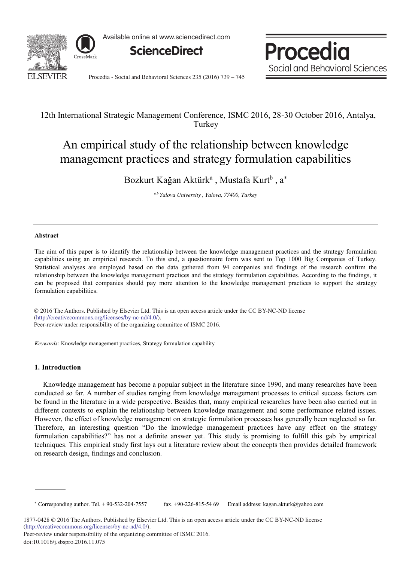

Available online at www.sciencedirect.com



Procedia Social and Behavioral Sciences

Procedia - Social and Behavioral Sciences 235 (2016) 739 – 745

# 12th International Strategic Management Conference, ISMC 2016, 28-30 October 2016, Antalya, **Turkey**

# An empirical study of the relationship between knowledge management practices and strategy formulation capabilities

Bozkurt Kağan Aktürk<sup>a</sup>, Mustafa Kurt<sup>b</sup>, a\*

*a,b Yalova University , Yalova, 77400, Turkey*

# **Abstract**

The aim of this paper is to identify the relationship between the knowledge management practices and the strategy formulation capabilities using an empirical research. To this end, a questionnaire form was sent to Top 1000 Big Companies of Turkey. Statistical analyses are employed based on the data gathered from 94 companies and findings of the research confirm the relationship between the knowledge management practices and the strategy formulation capabilities. According to the findings, it can be proposed that companies should pay more attention to the knowledge management practices to support the strategy formulation capabilities.

© 2016 The Authors. Published by Elsevier Ltd. © 2016 The Authors. Published by Elsevier Ltd. This is an open access article under the CC BY-NC-ND license Peer-review under responsibility of the organizing committee of ISMC 2016. Peer-review under responsibility of the organizing committee of ISMC 2016.(http://creativecommons.org/licenses/by-nc-nd/4.0/).

*Keywords:* Knowledge management practices, Strategy formulation capability

# **1. Introduction**

Knowledge management has become a popular subject in the literature since 1990, and many researches have been conducted so far. A number of studies ranging from knowledge management processes to critical success factors can be found in the literature in a wide perspective. Besides that, many empirical researches have been also carried out in different contexts to explain the relationship between knowledge management and some performance related issues. However, the effect of knowledge management on strategic formulation processes has generally been neglected so far. Therefore, an interesting question "Do the knowledge management practices have any effect on the strategy formulation capabilities?" has not a definite answer yet. This study is promising to fulfill this gab by empirical techniques. This empirical study first lays out a literature review about the concepts then provides detailed framework on research design, findings and conclusion.

 Corresponding author. Tel. + 90-532-204-7557 fax. +90-226-815-54 69 Email address: kagan.akturk@yahoo.com

<sup>1877-0428 © 2016</sup> The Authors. Published by Elsevier Ltd. This is an open access article under the CC BY-NC-ND license (http://creativecommons.org/licenses/by-nc-nd/4.0/).

Peer-review under responsibility of the organizing committee of ISMC 2016. doi: 10.1016/j.sbspro.2016.11.075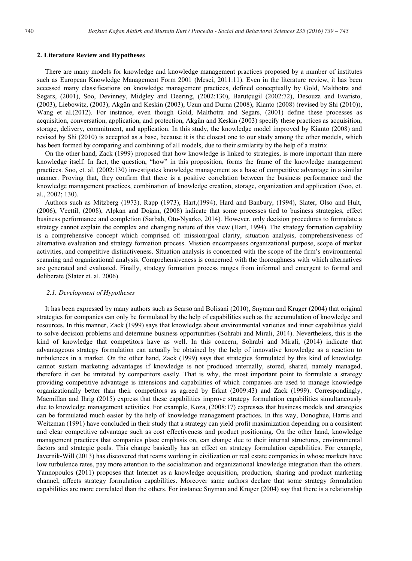#### **2. Literature Review and Hypotheses**

There are many models for knowledge and knowledge management practices proposed by a number of institutes such as European Knowledge Management Form 2001 (Mesci, 2011:11). Even in the literature review, it has been accessed many classifications on knowledge management practices, defined conceptually by Gold, Malthotra and Segars, (2001), Soo, Devinney, Midgley and Deering, (2002:130), Barutçugil (2002:72), Desouza and Evaristo, (2003), Liebowitz, (2003), Akgün and Keskin (2003), Uzun and Durna (2008), Kianto (2008) (revised by Shi (2010)), Wang et al.(2012). For instance, even though Gold, Malthotra and Segars, (2001) define these processes as acquisition, conversation, application, and protection, Akgün and Keskin (2003) specify these practices as acquisition, storage, delivery, commitment, and application. In this study, the knowledge model improved by Kianto (2008) and revised by Shi (2010) is accepted as a base, because it is the closest one to our study among the other models, which has been formed by comparing and combining of all models, due to their similarity by the help of a matrix.

On the other hand, Zack (1999) proposed that how knowledge is linked to strategies, is more important than mere knowledge itself. In fact, the question, "how" in this proposition, forms the frame of the knowledge management practices. Soo, et. al. (2002:130) investigates knowledge management as a base of competitive advantage in a similar manner. Proving that, they confirm that there is a positive correlation between the business performance and the knowledge management practices, combination of knowledge creation, storage, organization and application (Soo, et. al., 2002; 130).

Authors such as Mitzberg (1973), Rapp (1973), Hart,(1994), Hard and Banbury, (1994), Slater, Olso and Hult, (2006), Veettil, (2008), Alpkan and Doğan, (2008) indicate that some processes tied to business strategies, effect business performance and completion (Sarbah, Otu-Nyarko, 2014). However, only decision procedures to formulate a strategy cannot explain the complex and changing nature of this view (Hart, 1994). The strategy formation capability is a comprehensive concept which comprised of: mission/goal clarity, situation analysis, comprehensiveness of alternative evaluation and strategy formation process. Mission encompasses organizational purpose, scope of market activities, and competitive distinctiveness. Situation analysis is concerned with the scope of the firm's environmental scanning and organizational analysis. Comprehensiveness is concerned with the thoroughness with which alternatives are generated and evaluated. Finally, strategy formation process ranges from informal and emergent to formal and deliberate (Slater et. al. 2006).

#### *2.1. Development of Hypotheses*

It has been expressed by many authors such as Scarso and Bolisani (2010), Snyman and Kruger (2004) that original strategies for companies can only be formulated by the help of capabilities such as the accumulation of knowledge and resources. In this manner, Zack (1999) says that knowledge about environmental varieties and inner capabilities yield to solve decision problems and determine business opportunities (Sohrabi and Mirali, 2014). Nevertheless, this is the kind of knowledge that competitors have as well. In this concern, Sohrabi and Mirali, (2014) indicate that advantageous strategy formulation can actually be obtained by the help of innovative knowledge as a reaction to turbulences in a market. On the other hand, Zack (1999) says that strategies formulated by this kind of knowledge cannot sustain marketing advantages if knowledge is not produced internally, stored, shared, namely managed, therefore it can be imitated by competitors easily. That is why, the most important point to formulate a strategy providing competitive advantage is intensions and capabilities of which companies are used to manage knowledge organizationally better than their competitors as agreed by Erkut (2009:43) and Zack (1999). Correspondingly, Macmillan and Ihrig (2015) express that these capabilities improve strategy formulation capabilities simultaneously due to knowledge management activities. For example, Koza, (2008:17) expresses that business models and strategies can be formulated much easier by the help of knowledge management practices. In this way, Donoghue, Harris and Weitzman (1991) have concluded in their study that a strategy can yield profit maximization depending on a consistent and clear competitive advantage such as cost effectiveness and product positioning. On the other hand, knowledge management practices that companies place emphasis on, can change due to their internal structures, environmental factors and strategic goals. This change basically has an effect on strategy formulation capabilities. For example, Javernik-Will (2013) has discovered that teams working in civilization or real estate companies in whose markets have low turbulence rates, pay more attention to the socialization and organizational knowledge integration than the others. Yannopoulos (2011) proposes that Internet as a knowledge acquisition, production, sharing and product marketing channel, affects strategy formulation capabilities. Moreover same authors declare that some strategy formulation capabilities are more correlated than the others. For instance Snyman and Kruger (2004) say that there is a relationship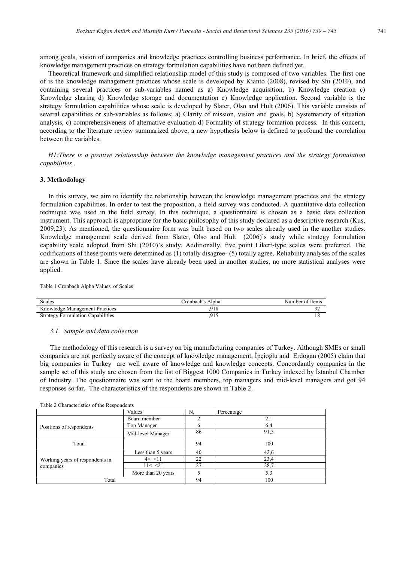among goals, vision of companies and knowledge practices controlling business performance. In brief, the effects of knowledge management practices on strategy formulation capabilities have not been defined yet.

Theoretical framework and simplified relationship model of this study is composed of two variables. The first one of is the knowledge management practices whose scale is developed by Kianto (2008), revised by Shi (2010), and containing several practices or sub-variables named as a) Knowledge acquisition, b) Knowledge creation c) Knowledge sharing d) Knowledge storage and documentation e) Knowledge application. Second variable is the strategy formulation capabilities whose scale is developed by Slater, Olso and Hult (2006). This variable consists of several capabilities or sub-variables as follows; a) Clarity of mission, vision and goals, b) Systematicty of situation analysis, c) comprehensiveness of alternative evaluation d) Formality of strategy formation process. In this concern, according to the literature review summarized above, a new hypothesis below is defined to profound the correlation between the variables.

*H1:There is a positive relationship between the knowledge management practices and the strategy formulation capabilities .* 

#### **3. Methodology**

In this survey, we aim to identify the relationship between the knowledge management practices and the strategy formulation capabilities. In order to test the proposition, a field survey was conducted. A quantitative data collection technique was used in the field survey. In this technique, a questionnaire is chosen as a basic data collection instrument. This approach is appropriate for the basic philosophy of this study declared as a descriptive research (Kuş, 2009;23). As mentioned, the questionnaire form was built based on two scales already used in the another studies. Knowledge management scale derived from Slater, Olso and Hult (2006)'s study while strategy formulation capability scale adopted from Shi (2010)'s study. Additionally, five point Likert-type scales were preferred. The codifications of these points were determined as (1) totally disagree- (5) totally agree. Reliability analyses of the scales are shown in Table 1. Since the scales have already been used in another studies, no more statistical analyses were applied.

Table 1 Cronbach Alpha Values of Scales

| Scales                                   | Cronbach's Alpha | Number of Items |
|------------------------------------------|------------------|-----------------|
| Knowledge Management Practices           | 918              |                 |
| <b>Strategy Formulation Capabilities</b> |                  |                 |

#### *3.1. Sample and data collection*

 The methodology of this research is a survey on big manufacturing companies of Turkey. Although SMEs or small companies are not perfectly aware of the concept of knowledge management, İpçioğlu and Erdogan (2005) claim that big companies in Turkey are well aware of knowledge and knowledge concepts. Concordantly companies in the sample set of this study are chosen from the list of Biggest 1000 Companies in Turkey indexed by İstanbul Chamber of Industry. The questionnaire was sent to the board members, top managers and mid-level managers and got 94 responses so far. The characteristics of the respondents are shown in Table 2.

| raone 2 characteristics of the resipendents  |                    |    |            |  |  |
|----------------------------------------------|--------------------|----|------------|--|--|
|                                              | Values             | N. | Percentage |  |  |
| Positions of respondents                     | Board member       |    | 2,1        |  |  |
|                                              | Top Manager        | 6  | 6,4        |  |  |
|                                              | Mid-level Manager  | 86 | 91,5       |  |  |
| Total                                        |                    | 94 | 100        |  |  |
| Working years of respondents in<br>companies | Less than 5 years  | 40 | 42,6       |  |  |
|                                              | 4 < 11             | 22 | 23,4       |  |  |
|                                              | 11 < 21            | 27 | 28,7       |  |  |
|                                              | More than 20 years |    | 5,3        |  |  |
| Total                                        |                    | 94 | 100        |  |  |
|                                              |                    |    |            |  |  |

Table 2 Characteristics of the Respondents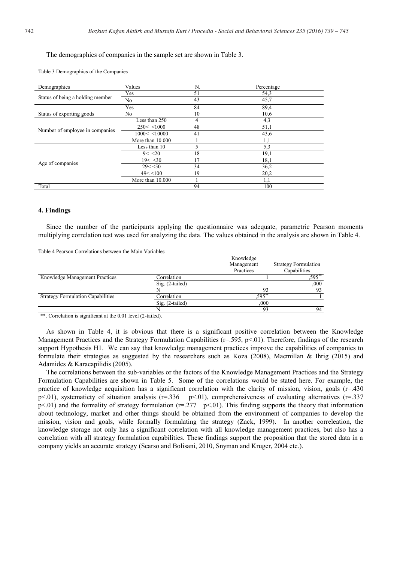# The demographics of companies in the sample set are shown in Table 3.

Table 3 Demographics of the Companies

| Demographics                     | Values           | N.             | Percentage |
|----------------------------------|------------------|----------------|------------|
|                                  | Yes              | 51             | 54,3       |
| Status of being a holding member | No               | 43             | 45,7       |
|                                  | Yes              | 84             | 89,4       |
| Status of exporting goods        | No               | 10             | 10,6       |
|                                  | Less than 250    | $\overline{4}$ | 4,3        |
| Number of employee in companies  | 250 < 1000       | 48             | 51,1       |
|                                  | 1000 < 10000     | 41             | 43,6       |
|                                  | More than 10,000 |                | 1,1        |
|                                  | Less than 10     | 5              | 5,3        |
|                                  | 9 < 20           | 18             | 19,1       |
|                                  | 19 < 30          | 17             | 18,1       |
| Age of companies                 | 29 < 50          | 34             | 36,2       |
|                                  | 49 < 100         | 19             | 20,2       |
|                                  | More than 10,000 |                | 1,1        |
| Total                            |                  | 94             | 100        |
|                                  |                  |                |            |

#### **4. Findings**

Since the number of the participants applying the questionnaire was adequate, parametric Pearson moments multiplying correlation test was used for analyzing the data. The values obtained in the analysis are shown in Table 4.

Table 4 Pearson Correlations between the Main Variables

|                                          |                 | Knowledge  |                             |
|------------------------------------------|-----------------|------------|-----------------------------|
|                                          |                 | Management | <b>Strategy Formulation</b> |
|                                          |                 | Practices  | Capabilities                |
| Knowledge Management Practices           | Correlation     |            | $.595**$                    |
|                                          | Sig. (2-tailed) |            | ,000                        |
|                                          |                 | 93         | 93                          |
| <b>Strategy Formulation Capabilities</b> | Correlation     | .595**     |                             |
|                                          | Sig. (2-tailed) | .000       |                             |
|                                          |                 | 93         | 94                          |
|                                          |                 |            |                             |

\*\*. Correlation is significant at the 0.01 level (2-tailed).

As shown in Table 4, it is obvious that there is a significant positive correlation between the Knowledge Management Practices and the Strategy Formulation Capabilities (r=.595, p<.01). Therefore, findings of the research support Hypothesis H1. We can say that knowledge management practices improve the capabilities of companies to formulate their strategies as suggested by the researchers such as Koza (2008), Macmillan & Ihrig (2015) and Adamides & Karacapilidis (2005).

The correlations between the sub-variables or the factors of the Knowledge Management Practices and the Strategy Formulation Capabilities are shown in Table 5. Some of the correlations would be stated here. For example, the practice of knowledge acquisition has a significant correlation with the clarity of mission, vision, goals  $(r=430$ p<.01), systematicty of situation analysis (r=.336 p<.01), comprehensiveness of evaluating alternatives (r=.337  $p<.01$ ) and the formality of strategy formulation ( $r=.277$   $p<.01$ ). This finding supports the theory that information about technology, market and other things should be obtained from the environment of companies to develop the mission, vision and goals, while formally formulating the strategy (Zack, 1999). In another correleation, the knowledge storage not only has a significant correlation with all knowledge management practices, but also has a correlation with all strategy formulation capabilities. These findings support the proposition that the stored data in a company yields an accurate strategy (Scarso and Bolisani, 2010, Snyman and Kruger, 2004 etc.).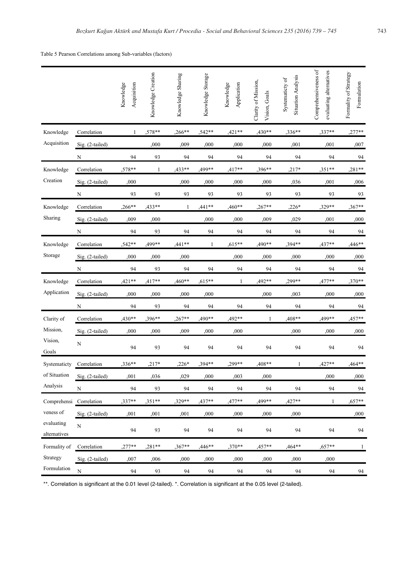Table 5 Pearson Correlations among Sub-variables (factors)

|                                                                    |                         | Knowledge<br>Acquisition | Knowledge Creation | Knowledge Sharing | Knowledge Storage | Knowledge<br>Application | Clarity of Mission,<br>Vision, Goals | <b>Situation Analysis</b><br>Systematicty of | Comprehensiveness of<br>evaluating alternatives | Formality of Strategy<br>Formulation |
|--------------------------------------------------------------------|-------------------------|--------------------------|--------------------|-------------------|-------------------|--------------------------|--------------------------------------|----------------------------------------------|-------------------------------------------------|--------------------------------------|
| Knowledge                                                          | Correlation             | $\mathbf{1}$             | ,578**             | $,266***$         | ,542**            | $,421**$                 | ,430**                               | ,336**                                       | ,337**                                          | ,277**                               |
| Acquisition                                                        | Sig. (2-tailed)         |                          | ,000               | ,009              | ,000              | ,000                     | ,000                                 | ,001                                         | ,001                                            | ,007                                 |
|                                                                    | $\overline{\mathbf{N}}$ | 94                       | 93                 | 94                | 94                | 94                       | 94                                   | 94                                           | 94                                              | 94                                   |
| Knowledge                                                          | Correlation             | $,578**$                 | 1                  | ,433**            | ,499**            | ,417**                   | ,396**                               | ,217*                                        | ,351**                                          | ,281**                               |
| Creation                                                           | Sig. (2-tailed)         | ,000                     |                    | ,000              | ,000              | ,000                     | ,000                                 | ,036                                         | ,001                                            | ,006                                 |
|                                                                    | $\overline{\mathbf{N}}$ | 93                       | 93                 | 93                | 93                | 93                       | 93                                   | 93                                           | 93                                              | 93                                   |
| Knowledge                                                          | Correlation             | ,266**                   | ,433**             | 1                 | ,441**            | ,460**                   | ,267**                               | ,226*                                        | ,329**                                          | ,367**                               |
| Sharing                                                            | Sig. (2-tailed)         | ,009                     | ,000               |                   | ,000              | ,000                     | ,009                                 | ,029                                         | ,001                                            | ,000                                 |
|                                                                    | ${\bf N}$               | 94                       | 93                 | 94                | 94                | 94                       | 94                                   | 94                                           | 94                                              | 94                                   |
| Knowledge                                                          | Correlation             | ,542**                   | ,499**             | ,441**            | $\mathbf{1}$      | ,615**                   | ,490**                               | ,394**                                       | ,437**                                          | ,446**                               |
| Storage                                                            | Sig. (2-tailed)         | ,000                     | ,000               | ,000              |                   | ,000                     | ,000                                 | ,000                                         | ,000                                            | ,000                                 |
|                                                                    | N                       | 94                       | 93                 | 94                | 94                | 94                       | 94                                   | 94                                           | 94                                              | 94                                   |
| Knowledge                                                          | Correlation             | $,421**$                 | $,417**$           | ,460**            | $,615**$          | 1                        | ,492**                               | ,299**                                       | ,477**                                          | ,370**                               |
| Application                                                        | Sig. (2-tailed)         | ,000                     | ,000               | ,000              | ,000              |                          | ,000                                 | ,003                                         | ,000                                            | ,000                                 |
|                                                                    | N                       | 94                       | 93                 | 94                | 94                | 94                       | 94                                   | 94                                           | 94                                              | 94                                   |
| Clarity of                                                         | Correlation             | $,430**$                 | ,396**             | ,267**            | 490**             | ,492**                   | 1                                    | ,408**                                       | 499**                                           | ,457**                               |
| Mission,                                                           | Sig. (2-tailed)         | ,000                     | ,000               | ,009              | ,000              | ,000                     |                                      | ,000                                         | ,000                                            | ,000                                 |
| Vision,<br>Goals                                                   | ${\bf N}$               | 94                       | 93                 | 94                | 94                | 94                       | 94                                   | 94                                           | 94                                              | 94                                   |
| Systematicty                                                       | Correlation             | ,336**                   | $,217*$            | $,226*$           | ,394**            | ,299**                   | ,408**                               | 1                                            | ,427**                                          | ,464**                               |
| of Situation                                                       | Sig. (2-tailed)         | ,001                     | ,036               | ,029              | ,000              | ,003                     | ,000                                 |                                              | ,000                                            | ,000                                 |
| Analysis                                                           | N                       | 94                       | 93                 | 94                | 94                | 94                       | 94                                   | 94                                           | 94                                              | 94                                   |
| Comprehensi Correlation<br>veness of<br>evaluating<br>alternatives |                         | ,337**                   | $,351**$           | $,329**$          | $.437**$          | ,477**                   | 499**                                | ,427**                                       | 1                                               | $,657**$                             |
|                                                                    | Sig. (2-tailed)         | ,001                     | ,001               | ,001              | ,000              | ,000                     | ,000                                 | ,000                                         |                                                 | ,000                                 |
|                                                                    | ${\bf N}$               | 94                       | 93                 | 94                | 94                | 94                       | 94                                   | 94                                           | 94                                              | 94                                   |
| Formality of<br>Strategy                                           | Correlation             | ,277**                   | $,281**$           | ,367**            | ,446**            | ,370**                   | ,457**                               | ,464**                                       | ,657**                                          | $\mathbf{1}$                         |
|                                                                    | Sig. (2-tailed)         | ,007                     | ,006               | ,000              | ,000              | ,000                     | ,000                                 | ,000                                         | ,000                                            |                                      |
| Formulation                                                        | $\mathbf N$             | 94                       | 93                 | 94                | 94                | 94                       | 94                                   | 94                                           | 94                                              | 94                                   |

\*\*. Correlation is significant at the 0.01 level (2-tailed). \*. Correlation is significant at the 0.05 level (2-tailed).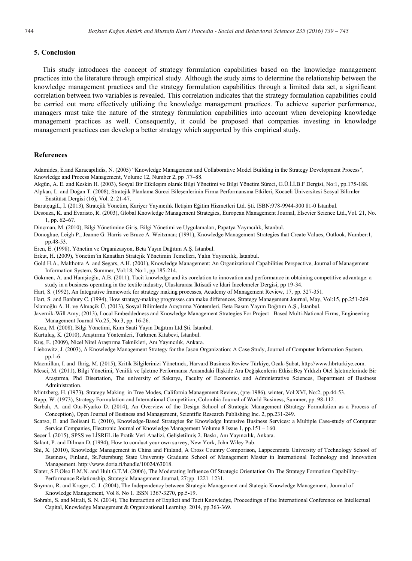#### **5. Conclusion**

This study introduces the concept of strategy formulation capabilities based on the knowledge management practices into the literature through empirical study. Although the study aims to determine the relationship between the knowledge management practices and the strategy formulation capabilities through a limited data set, a significant correlation between two variables is revealed. This correlation indicates that the strategy formulation capabilities could be carried out more effectively utilizing the knowledge management practices. To achieve superior performance, managers must take the nature of the strategy formulation capabilities into account when developing knowledge management practices as well. Consequently, it could be proposed that companies investing in knowledge management practices can develop a better strategy which supported by this empirical study.

#### **References**

- Adamides, E.and Karacapilidis, N. (2005) "Knowledge Management and Collaborative Model Building in the Strategy Development Process", Knowledge and Process Management, Volume 12, Number 2, pp .77–88.
- Akgün, A. E. and Keskin H. (2003), Sosyal Bir Etkileşim olarak Bilgi Yönetimi ve Bilgi Yönetim Süreci, G.Ü.İ.İ.B.F Dergisi, No:1, pp.175-188. Alpkan, L. and Doğan T. (2008), Stratejik Planlama Süreci Bileşenlerinin Firma Performansına Etkileri, Kocaeli Üniversitesi Sosyal Bilimler Enstitüsü Dergisi (16), Vol. 2: 21-47.

BarutçugiL, İ. (2013), Stratejik Yönetim, Kariyer Yayıncılık İletişim Eğitim Hizmetleri Ltd. Şti. ISBN:978-9944-300 81-0 İstanbul.

- Desouza, K. and Evaristo, R. (2003), Global Knowledge Management Strategies, European Management Journal, Elsevier Science Ltd.,Vol. 21, No. 1, pp. 62–67.
- Dinçman, M. (2010), Bilgi Yönetimine Giriş, Bilgi Yönetimi ve Uygulamaları, Papatya Yayıncılık, İstanbul.
- Donoghue, Leigh P., Jeanne G. Harris ve Bruce A. Weitzman; (1991), Knowledge Management Strategies that Create Values, Outlook, Number:1, pp.48-53.
- Eren, E. (1998), Yönetim ve Organizasyon, Beta Yayın Dağıtım A.Ş. İstanbul.
- Erkut, H. (2009), Yönetim'in Kanatları Stratejik Yönetimin Temelleri, Yalın Yayıncılık, İstanbul.
- Gold H.A., Malthotra A. and Segars, A.H. (2001), Knowledge Management: An Organizational Capabilities Perspective, Journal of Management Information System, Summer, Vol:18, No:1, pp.185-214.
- Gökmen, A. and Hamşioğlu, A.B. (2011), Tacit knowledge and its corelation to innovation and performance in obtaining competitive advantage: a study in a business operating in the textile industry, Uluslararası İktisadi ve İdari İncelemeler Dergisi, pp 19-34.
- Hart, S. (1992), An Integrative framework for strategy making processes, Academy of Management Review, 17, pp. 327-351.
- Hart, S. and Banbury C. (1994), How strategy-making progresses can make differences, Strategy Management Journal, May, Vol:15, pp.251-269.
- İslamoğlu A. H. ve Alnıaçik Ü. (2013), Sosyal Bilimlerde Araştırma Yöntemleri, Beta Basım Yayım Dağıtım A.Ş., İstanbul.
- Javernik-Will Amy; (2013), Local Embeddedness and Knowledge Management Strategies For Project –Based Multi-National Firms, Engineering Management Journal Vo.25, No:3, pp. 16-26.
- Koza, M. (2008), Bilgi Yönetimi, Kum Saati Yayın Dağıtım Ltd.Şti. İstanbul.
- Kurtuluş, K. (2010), Araştırma Yöntemleri, Türkmen Kitabevi, İstanbul.
- Kuş, E. (2009), Nicel Nitel Araştırma Teknikleri, Anı Yayıncılık, Ankara.
- Liebowitz, J. (2003), A Knowledge Management Strategy for the Jason Organization: A Case Study, Journal of Computer Information System, pp.1-6.
- Macmillan, I. and Ihrig, M. (2015), Kritik Bilgilerinizi Yönetmek, Harvard Business Review Türkiye, Ocak-Şubat, http://www.hbrturkiye.com.
- Mesci, M. (2011), Bilgi Yönetimi, Yenilik ve İşletme Performansı Arasındaki İlişkide Ara Değişkenlerin Etkisi:Beş Yıldızlı Otel İşletmelerinde Bir Araştırma, Phd Disertation, The university of Sakarya, Faculty of Economics and Administrative Sciences, Department of Business Administration.
- Mintzberg, H. (1973), Strategy Making in Tree Modes, California Management Review, (pre-1986), winter, Vol:XVI, No:2, pp.44-53.
- Rapp, W. (1973), Strategy Formulation and International Competition, Colombia Journal of World Business, Summer, pp. 98-112 .
- Sarbah, A. and Otu-Nyarko D. (2014), An Overview of the Design School of Strategic Management (Strategy Formulation as a Process of Conception), Open Journal of Business and Management, Scientific Research Publishing Inc. 2, pp.231-249.
- Scarso, E. and Bolisani E. (2010), Knowledge-Based Strategies for Knowledge Intensive Business Services: a Multiple Case-study of Computer Service Companies, Electronic Journal of Knowledge Management Volume 8 Issue 1, pp.151 – 160.
- Seçer İ. (2015), SPSS ve LİSREL ile Pratik Veri Analizi, Gelişletilmiş 2. Baskı, Anı Yayıncılık, Ankara.
- Salant, P. and Dilman D. (1994), How to conduct your own survey, New York, John Wiley Pub.
- Shi, X. (2010), Knowledge Management in China and Finland, A Cross Country Comporison, Lappeenranta University of Technology School of Business, Finland, St.Petersburg State Unıversıty Graduate School of Management Master in International Technology and Innovation Management. http://www.doria.fi/handle/10024/63018.
- Slater, S.F.Olso E.M.N. and Hult G.T.M. (2006), The Moderating Influence Of Strategic Orientation On The Strategy Formation Capability– Performance Relationship, Strategic Management Journal, 27:pp. 1221–1231.
- Snyman, R. and Kruger, C. J. (2004), The Independency between Strategic Management and Stategic Knowledge Management, Journal of Knowledge Management, Vol 8. No 1. ISSN 1367-3270, pp.5-19.
- Sohrabi, S. and Mirali, S. N. (2014), The Interaction of Explicit and Tacit Knowledge, Proceedings of the International Conference on Intellectual Capital, Knowledge Management & Organizational Learning. 2014, pp.363-369.